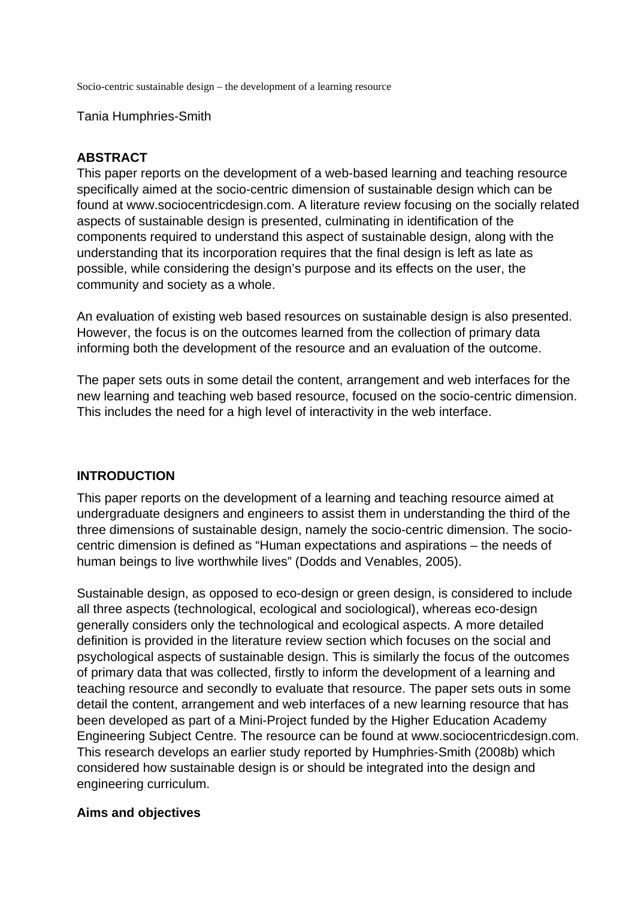Socio-centric sustainable design – the development of a learning resource

Tania Humphries-Smith

### **ABSTRACT**

This paper reports on the development of a web-based learning and teaching resource specifically aimed at the socio-centric dimension of sustainable design which can be found at www.sociocentricdesign.com. A literature review focusing on the socially related aspects of sustainable design is presented, culminating in identification of the components required to understand this aspect of sustainable design, along with the understanding that its incorporation requires that the final design is left as late as possible, while considering the design's purpose and its effects on the user, the community and society as a whole.

An evaluation of existing web based resources on sustainable design is also presented. However, the focus is on the outcomes learned from the collection of primary data informing both the development of the resource and an evaluation of the outcome.

The paper sets outs in some detail the content, arrangement and web interfaces for the new learning and teaching web based resource, focused on the socio-centric dimension. This includes the need for a high level of interactivity in the web interface.

## **INTRODUCTION**

This paper reports on the development of a learning and teaching resource aimed at undergraduate designers and engineers to assist them in understanding the third of the three dimensions of sustainable design, namely the socio-centric dimension. The sociocentric dimension is defined as "Human expectations and aspirations – the needs of human beings to live worthwhile lives" (Dodds and Venables, 2005).

Sustainable design, as opposed to eco-design or green design, is considered to include all three aspects (technological, ecological and sociological), whereas eco-design generally considers only the technological and ecological aspects. A more detailed definition is provided in the literature review section which focuses on the social and psychological aspects of sustainable design. This is similarly the focus of the outcomes of primary data that was collected, firstly to inform the development of a learning and teaching resource and secondly to evaluate that resource. The paper sets outs in some detail the content, arrangement and web interfaces of a new learning resource that has been developed as part of a Mini-Project funded by the Higher Education Academy Engineering Subject Centre. The resource can be found at www.sociocentricdesign.com. This research develops an earlier study reported by Humphries-Smith (2008b) which considered how sustainable design is or should be integrated into the design and engineering curriculum.

#### **Aims and objectives**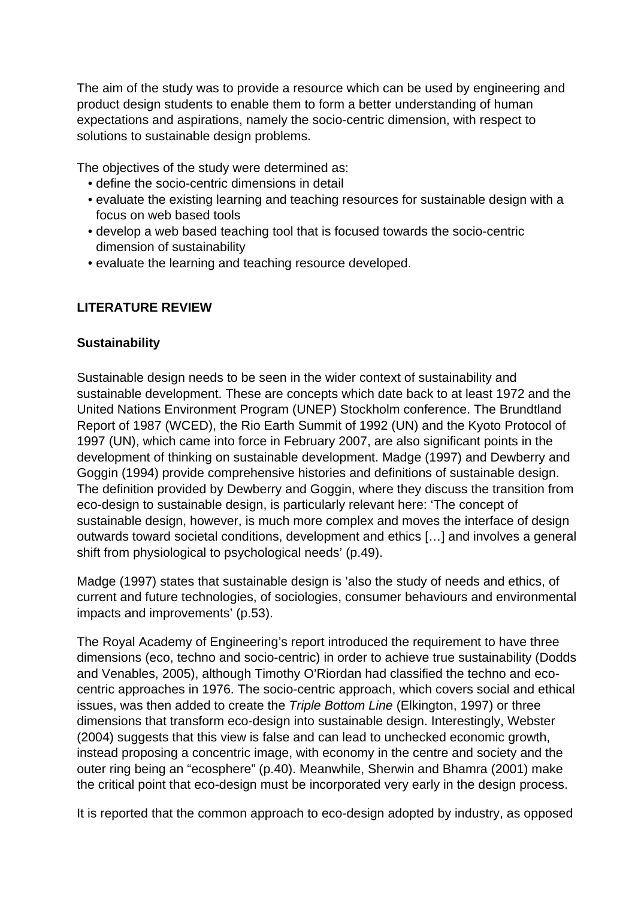The aim of the study was to provide a resource which can be used by engineering and product design students to enable them to form a better understanding of human expectations and aspirations, namely the socio-centric dimension, with respect to solutions to sustainable design problems.

The objectives of the study were determined as:

- define the socio-centric dimensions in detail
- evaluate the existing learning and teaching resources for sustainable design with a focus on web based tools
- develop a web based teaching tool that is focused towards the socio-centric dimension of sustainability
- evaluate the learning and teaching resource developed.

# **LITERATURE REVIEW**

### **Sustainability**

Sustainable design needs to be seen in the wider context of sustainability and sustainable development. These are concepts which date back to at least 1972 and the United Nations Environment Program (UNEP) Stockholm conference. The Brundtland Report of 1987 (WCED), the Rio Earth Summit of 1992 (UN) and the Kyoto Protocol of 1997 (UN), which came into force in February 2007, are also significant points in the development of thinking on sustainable development. Madge (1997) and Dewberry and Goggin (1994) provide comprehensive histories and definitions of sustainable design. The definition provided by Dewberry and Goggin, where they discuss the transition from eco-design to sustainable design, is particularly relevant here: 'The concept of sustainable design, however, is much more complex and moves the interface of design outwards toward societal conditions, development and ethics […] and involves a general shift from physiological to psychological needs' (p.49).

Madge (1997) states that sustainable design is 'also the study of needs and ethics, of current and future technologies, of sociologies, consumer behaviours and environmental impacts and improvements' (p.53).

The Royal Academy of Engineering's report introduced the requirement to have three dimensions (eco, techno and socio-centric) in order to achieve true sustainability (Dodds and Venables, 2005), although Timothy O'Riordan had classified the techno and ecocentric approaches in 1976. The socio-centric approach, which covers social and ethical issues, was then added to create the Triple Bottom Line (Elkington, 1997) or three dimensions that transform eco-design into sustainable design. Interestingly, Webster (2004) suggests that this view is false and can lead to unchecked economic growth, instead proposing a concentric image, with economy in the centre and society and the outer ring being an "ecosphere" (p.40). Meanwhile, Sherwin and Bhamra (2001) make the critical point that eco-design must be incorporated very early in the design process.

It is reported that the common approach to eco-design adopted by industry, as opposed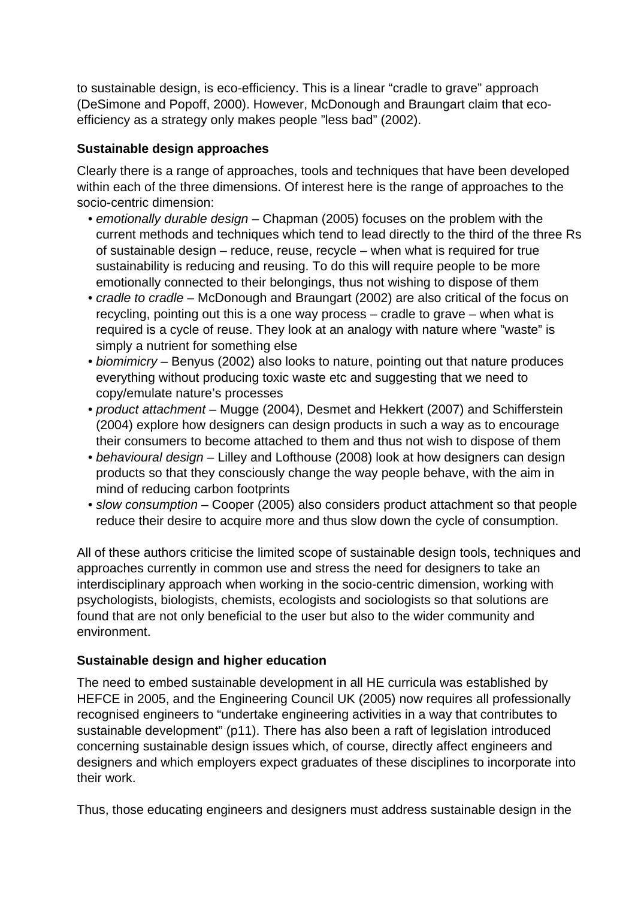to sustainable design, is eco-efficiency. This is a linear "cradle to grave" approach (DeSimone and Popoff, 2000). However, McDonough and Braungart claim that ecoefficiency as a strategy only makes people "less bad" (2002).

# **Sustainable design approaches**

Clearly there is a range of approaches, tools and techniques that have been developed within each of the three dimensions. Of interest here is the range of approaches to the socio-centric dimension:

- emotionally durable design Chapman (2005) focuses on the problem with the current methods and techniques which tend to lead directly to the third of the three Rs of sustainable design – reduce, reuse, recycle – when what is required for true sustainability is reducing and reusing. To do this will require people to be more emotionally connected to their belongings, thus not wishing to dispose of them
- cradle to cradle McDonough and Braungart (2002) are also critical of the focus on recycling, pointing out this is a one way process – cradle to grave – when what is required is a cycle of reuse. They look at an analogy with nature where "waste" is simply a nutrient for something else
- biomimicry Benyus (2002) also looks to nature, pointing out that nature produces everything without producing toxic waste etc and suggesting that we need to copy/emulate nature's processes
- product attachment Mugge (2004), Desmet and Hekkert (2007) and Schifferstein (2004) explore how designers can design products in such a way as to encourage their consumers to become attached to them and thus not wish to dispose of them
- behavioural design Lilley and Lofthouse (2008) look at how designers can design products so that they consciously change the way people behave, with the aim in mind of reducing carbon footprints
- slow consumption Cooper (2005) also considers product attachment so that people reduce their desire to acquire more and thus slow down the cycle of consumption.

All of these authors criticise the limited scope of sustainable design tools, techniques and approaches currently in common use and stress the need for designers to take an interdisciplinary approach when working in the socio-centric dimension, working with psychologists, biologists, chemists, ecologists and sociologists so that solutions are found that are not only beneficial to the user but also to the wider community and environment.

## **Sustainable design and higher education**

The need to embed sustainable development in all HE curricula was established by HEFCE in 2005, and the Engineering Council UK (2005) now requires all professionally recognised engineers to "undertake engineering activities in a way that contributes to sustainable development" (p11). There has also been a raft of legislation introduced concerning sustainable design issues which, of course, directly affect engineers and designers and which employers expect graduates of these disciplines to incorporate into their work.

Thus, those educating engineers and designers must address sustainable design in the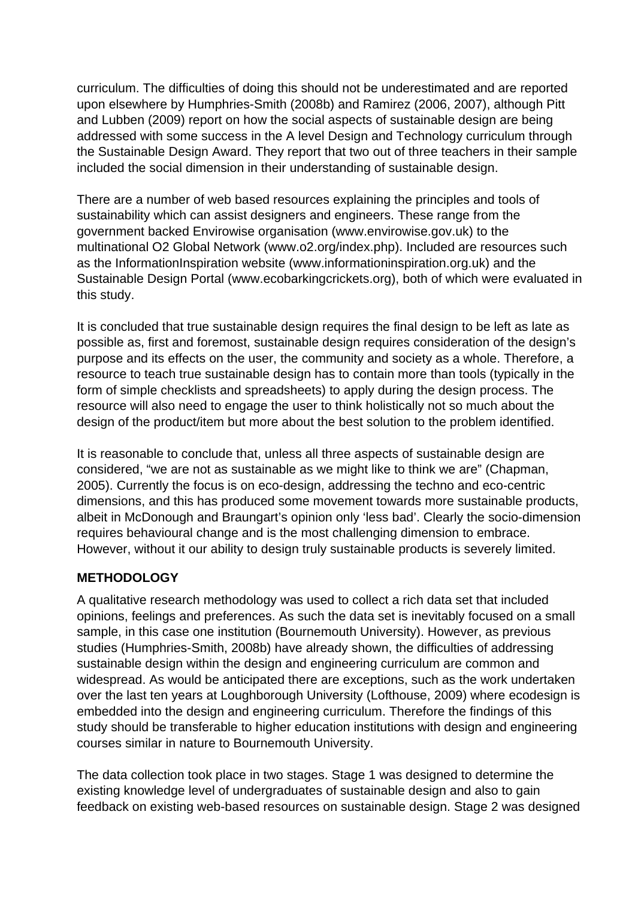curriculum. The difficulties of doing this should not be underestimated and are reported upon elsewhere by Humphries-Smith (2008b) and Ramirez (2006, 2007), although Pitt and Lubben (2009) report on how the social aspects of sustainable design are being addressed with some success in the A level Design and Technology curriculum through the Sustainable Design Award. They report that two out of three teachers in their sample included the social dimension in their understanding of sustainable design.

There are a number of web based resources explaining the principles and tools of sustainability which can assist designers and engineers. These range from the government backed Envirowise organisation (www.envirowise.gov.uk) to the multinational O2 Global Network (www.o2.org/index.php). Included are resources such as the InformationInspiration website (www.informationinspiration.org.uk) and the Sustainable Design Portal (www.ecobarkingcrickets.org), both of which were evaluated in this study.

It is concluded that true sustainable design requires the final design to be left as late as possible as, first and foremost, sustainable design requires consideration of the design's purpose and its effects on the user, the community and society as a whole. Therefore, a resource to teach true sustainable design has to contain more than tools (typically in the form of simple checklists and spreadsheets) to apply during the design process. The resource will also need to engage the user to think holistically not so much about the design of the product/item but more about the best solution to the problem identified.

It is reasonable to conclude that, unless all three aspects of sustainable design are considered, "we are not as sustainable as we might like to think we are" (Chapman, 2005). Currently the focus is on eco-design, addressing the techno and eco-centric dimensions, and this has produced some movement towards more sustainable products, albeit in McDonough and Braungart's opinion only 'less bad'. Clearly the socio-dimension requires behavioural change and is the most challenging dimension to embrace. However, without it our ability to design truly sustainable products is severely limited.

## **METHODOLOGY**

A qualitative research methodology was used to collect a rich data set that included opinions, feelings and preferences. As such the data set is inevitably focused on a small sample, in this case one institution (Bournemouth University). However, as previous studies (Humphries-Smith, 2008b) have already shown, the difficulties of addressing sustainable design within the design and engineering curriculum are common and widespread. As would be anticipated there are exceptions, such as the work undertaken over the last ten years at Loughborough University (Lofthouse, 2009) where ecodesign is embedded into the design and engineering curriculum. Therefore the findings of this study should be transferable to higher education institutions with design and engineering courses similar in nature to Bournemouth University.

The data collection took place in two stages. Stage 1 was designed to determine the existing knowledge level of undergraduates of sustainable design and also to gain feedback on existing web-based resources on sustainable design. Stage 2 was designed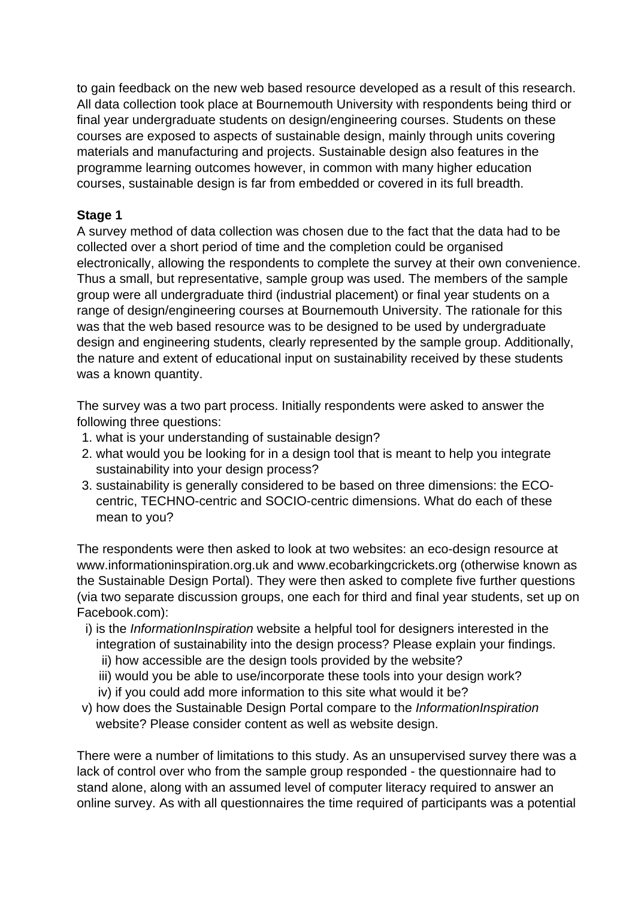to gain feedback on the new web based resource developed as a result of this research. All data collection took place at Bournemouth University with respondents being third or final year undergraduate students on design/engineering courses. Students on these courses are exposed to aspects of sustainable design, mainly through units covering materials and manufacturing and projects. Sustainable design also features in the programme learning outcomes however, in common with many higher education courses, sustainable design is far from embedded or covered in its full breadth.

# **Stage 1**

A survey method of data collection was chosen due to the fact that the data had to be collected over a short period of time and the completion could be organised electronically, allowing the respondents to complete the survey at their own convenience. Thus a small, but representative, sample group was used. The members of the sample group were all undergraduate third (industrial placement) or final year students on a range of design/engineering courses at Bournemouth University. The rationale for this was that the web based resource was to be designed to be used by undergraduate design and engineering students, clearly represented by the sample group. Additionally, the nature and extent of educational input on sustainability received by these students was a known quantity.

The survey was a two part process. Initially respondents were asked to answer the following three questions:

- 1. what is your understanding of sustainable design?
- 2. what would you be looking for in a design tool that is meant to help you integrate sustainability into your design process?
- 3. sustainability is generally considered to be based on three dimensions: the ECOcentric, TECHNO-centric and SOCIO-centric dimensions. What do each of these mean to you?

The respondents were then asked to look at two websites: an eco-design resource at www.informationinspiration.org.uk and www.ecobarkingcrickets.org (otherwise known as the Sustainable Design Portal). They were then asked to complete five further questions (via two separate discussion groups, one each for third and final year students, set up on Facebook.com):

- i) is the InformationInspiration website a helpful tool for designers interested in the integration of sustainability into the design process? Please explain your findings.
	- ii) how accessible are the design tools provided by the website?
	- iii) would you be able to use/incorporate these tools into your design work?
	- iv) if you could add more information to this site what would it be?
- v) how does the Sustainable Design Portal compare to the *InformationInspiration* website? Please consider content as well as website design.

There were a number of limitations to this study. As an unsupervised survey there was a lack of control over who from the sample group responded - the questionnaire had to stand alone, along with an assumed level of computer literacy required to answer an online survey. As with all questionnaires the time required of participants was a potential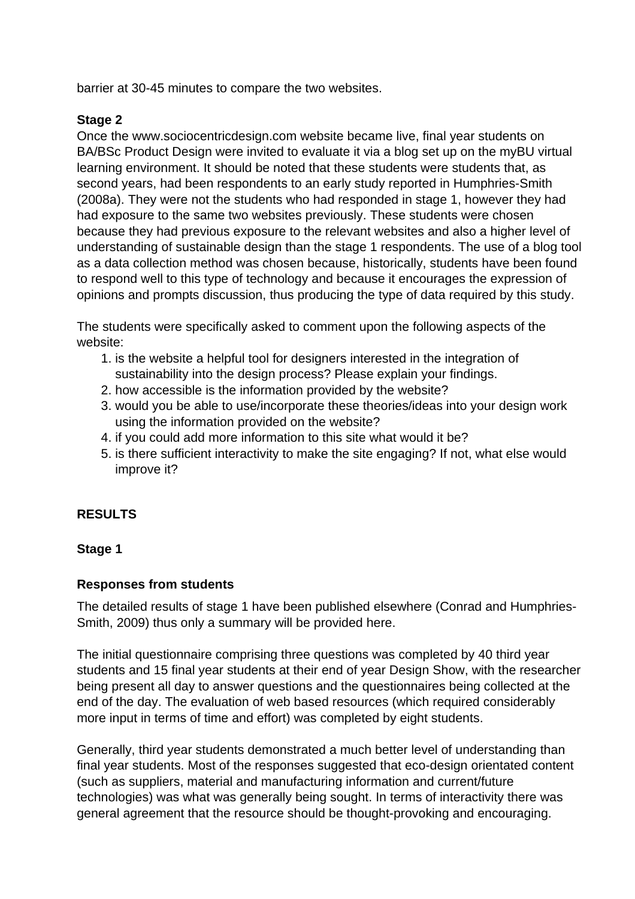barrier at 30-45 minutes to compare the two websites.

## **Stage 2**

Once the www.sociocentricdesign.com website became live, final year students on BA/BSc Product Design were invited to evaluate it via a blog set up on the myBU virtual learning environment. It should be noted that these students were students that, as second years, had been respondents to an early study reported in Humphries-Smith (2008a). They were not the students who had responded in stage 1, however they had had exposure to the same two websites previously. These students were chosen because they had previous exposure to the relevant websites and also a higher level of understanding of sustainable design than the stage 1 respondents. The use of a blog tool as a data collection method was chosen because, historically, students have been found to respond well to this type of technology and because it encourages the expression of opinions and prompts discussion, thus producing the type of data required by this study.

The students were specifically asked to comment upon the following aspects of the website:

- 1. is the website a helpful tool for designers interested in the integration of sustainability into the design process? Please explain your findings.
- 2. how accessible is the information provided by the website?
- 3. would you be able to use/incorporate these theories/ideas into your design work using the information provided on the website?
- 4. if you could add more information to this site what would it be?
- 5. is there sufficient interactivity to make the site engaging? If not, what else would improve it?

## **RESULTS**

## **Stage 1**

## **Responses from students**

The detailed results of stage 1 have been published elsewhere (Conrad and Humphries-Smith, 2009) thus only a summary will be provided here.

The initial questionnaire comprising three questions was completed by 40 third year students and 15 final year students at their end of year Design Show, with the researcher being present all day to answer questions and the questionnaires being collected at the end of the day. The evaluation of web based resources (which required considerably more input in terms of time and effort) was completed by eight students.

Generally, third year students demonstrated a much better level of understanding than final year students. Most of the responses suggested that eco-design orientated content (such as suppliers, material and manufacturing information and current/future technologies) was what was generally being sought. In terms of interactivity there was general agreement that the resource should be thought-provoking and encouraging.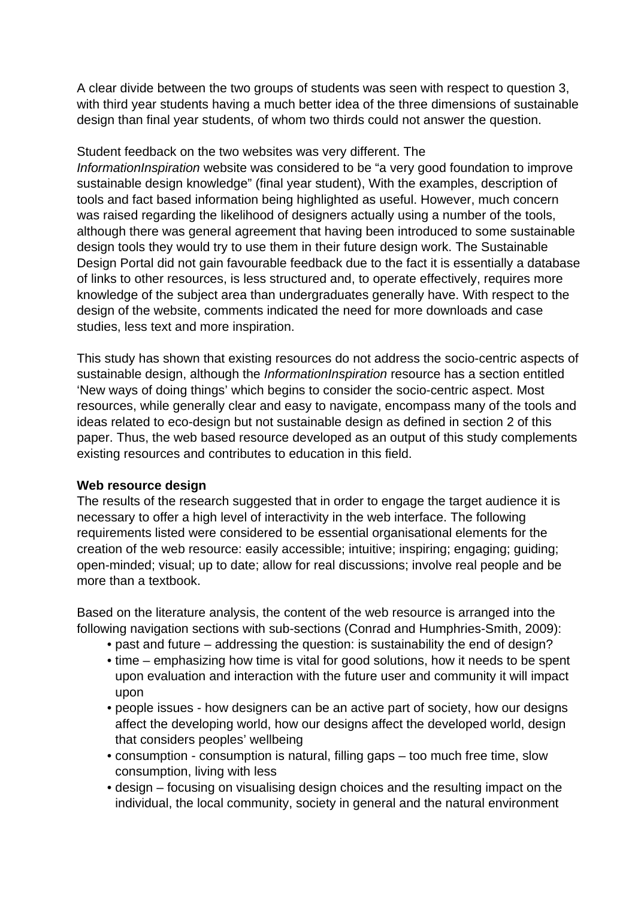A clear divide between the two groups of students was seen with respect to question 3, with third year students having a much better idea of the three dimensions of sustainable design than final year students, of whom two thirds could not answer the question.

Student feedback on the two websites was very different. The InformationInspiration website was considered to be "a very good foundation to improve sustainable design knowledge" (final year student), With the examples, description of tools and fact based information being highlighted as useful. However, much concern was raised regarding the likelihood of designers actually using a number of the tools, although there was general agreement that having been introduced to some sustainable design tools they would try to use them in their future design work. The Sustainable Design Portal did not gain favourable feedback due to the fact it is essentially a database of links to other resources, is less structured and, to operate effectively, requires more knowledge of the subject area than undergraduates generally have. With respect to the design of the website, comments indicated the need for more downloads and case studies, less text and more inspiration.

This study has shown that existing resources do not address the socio-centric aspects of sustainable design, although the *InformationInspiration* resource has a section entitled 'New ways of doing things' which begins to consider the socio-centric aspect. Most resources, while generally clear and easy to navigate, encompass many of the tools and ideas related to eco-design but not sustainable design as defined in section 2 of this paper. Thus, the web based resource developed as an output of this study complements existing resources and contributes to education in this field.

#### **Web resource design**

The results of the research suggested that in order to engage the target audience it is necessary to offer a high level of interactivity in the web interface. The following requirements listed were considered to be essential organisational elements for the creation of the web resource: easily accessible; intuitive; inspiring; engaging; guiding; open-minded; visual; up to date; allow for real discussions; involve real people and be more than a textbook.

Based on the literature analysis, the content of the web resource is arranged into the following navigation sections with sub-sections (Conrad and Humphries-Smith, 2009):

- past and future addressing the question: is sustainability the end of design?
- time emphasizing how time is vital for good solutions, how it needs to be spent upon evaluation and interaction with the future user and community it will impact upon
- people issues how designers can be an active part of society, how our designs affect the developing world, how our designs affect the developed world, design that considers peoples' wellbeing
- consumption consumption is natural, filling gaps too much free time, slow consumption, living with less
- design focusing on visualising design choices and the resulting impact on the individual, the local community, society in general and the natural environment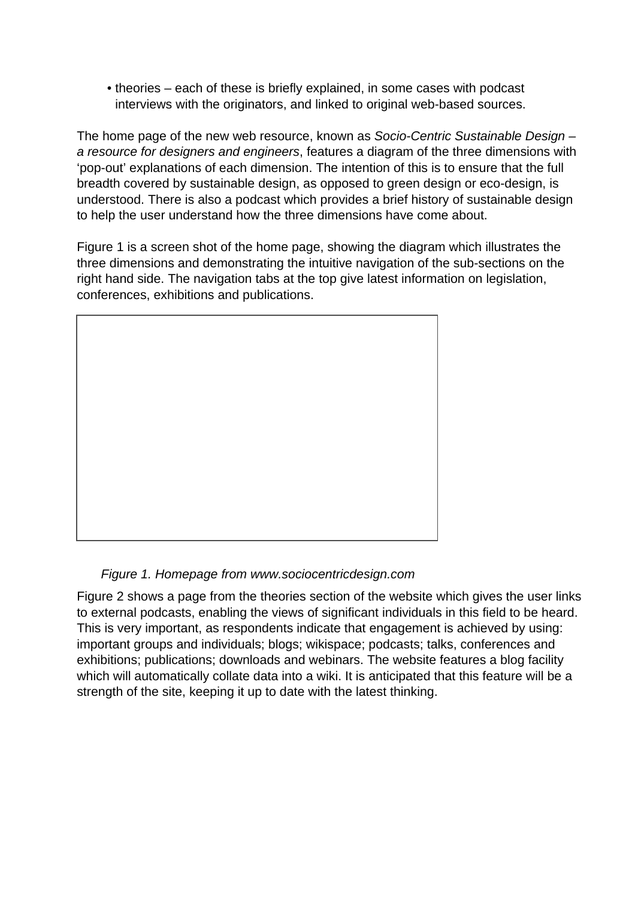• theories – each of these is briefly explained, in some cases with podcast interviews with the originators, and linked to original web-based sources.

The home page of the new web resource, known as Socio-Centric Sustainable Design – a resource for designers and engineers, features a diagram of the three dimensions with 'pop-out' explanations of each dimension. The intention of this is to ensure that the full breadth covered by sustainable design, as opposed to green design or eco-design, is understood. There is also a podcast which provides a brief history of sustainable design to help the user understand how the three dimensions have come about.

Figure 1 is a screen shot of the home page, showing the diagram which illustrates the three dimensions and demonstrating the intuitive navigation of the sub-sections on the right hand side. The navigation tabs at the top give latest information on legislation, conferences, exhibitions and publications.



## Figure 1. Homepage from www.sociocentricdesign.com

Figure 2 shows a page from the theories section of the website which gives the user links to external podcasts, enabling the views of significant individuals in this field to be heard. This is very important, as respondents indicate that engagement is achieved by using: important groups and individuals; blogs; wikispace; podcasts; talks, conferences and exhibitions; publications; downloads and webinars. The website features a blog facility which will automatically collate data into a wiki. It is anticipated that this feature will be a strength of the site, keeping it up to date with the latest thinking.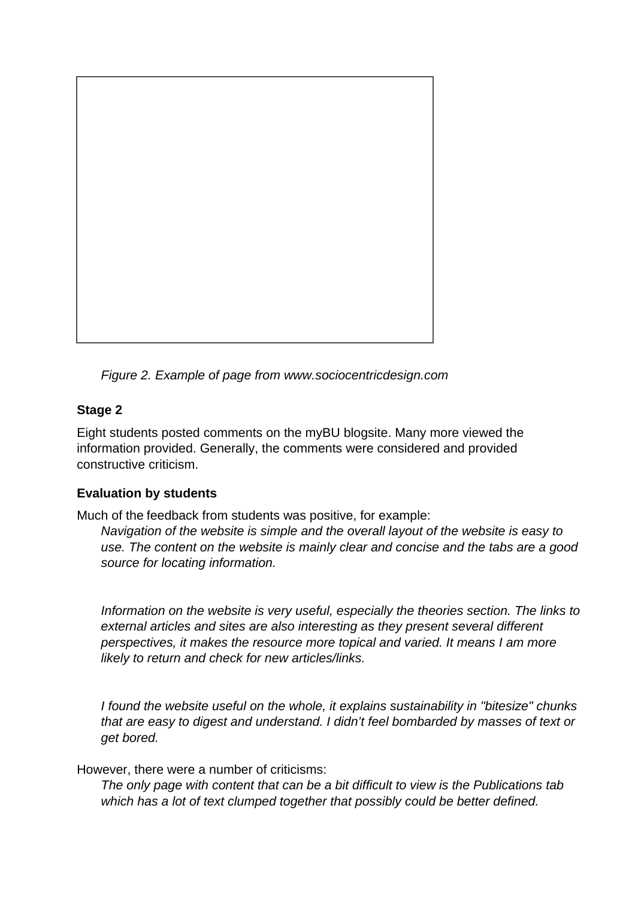

Figure 2. Example of page from www.sociocentricdesign.com

# **Stage 2**

Eight students posted comments on the myBU blogsite. Many more viewed the information provided. Generally, the comments were considered and provided constructive criticism.

# **Evaluation by students**

Much of the feedback from students was positive, for example:

Navigation of the website is simple and the overall layout of the website is easy to use. The content on the website is mainly clear and concise and the tabs are a good source for locating information.

Information on the website is very useful, especially the theories section. The links to external articles and sites are also interesting as they present several different perspectives, it makes the resource more topical and varied. It means I am more likely to return and check for new articles/links.

I found the website useful on the whole, it explains sustainability in "bitesize" chunks that are easy to digest and understand. I didn't feel bombarded by masses of text or get bored.

However, there were a number of criticisms:

The only page with content that can be a bit difficult to view is the Publications tab which has a lot of text clumped together that possibly could be better defined.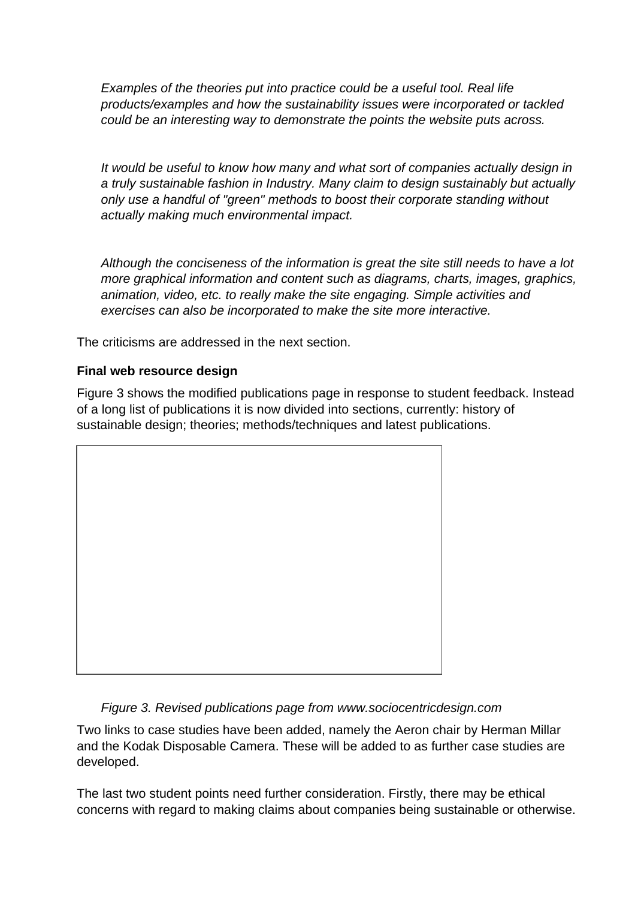Examples of the theories put into practice could be a useful tool. Real life products/examples and how the sustainability issues were incorporated or tackled could be an interesting way to demonstrate the points the website puts across.

It would be useful to know how many and what sort of companies actually design in a truly sustainable fashion in Industry. Many claim to design sustainably but actually only use a handful of "green" methods to boost their corporate standing without actually making much environmental impact.

Although the conciseness of the information is great the site still needs to have a lot more graphical information and content such as diagrams, charts, images, graphics, animation, video, etc. to really make the site engaging. Simple activities and exercises can also be incorporated to make the site more interactive.

The criticisms are addressed in the next section.

## **Final web resource design**

Figure 3 shows the modified publications page in response to student feedback. Instead of a long list of publications it is now divided into sections, currently: history of sustainable design; theories; methods/techniques and latest publications.



## Figure 3. Revised publications page from www.sociocentricdesign.com

Two links to case studies have been added, namely the Aeron chair by Herman Millar and the Kodak Disposable Camera. These will be added to as further case studies are developed.

The last two student points need further consideration. Firstly, there may be ethical concerns with regard to making claims about companies being sustainable or otherwise.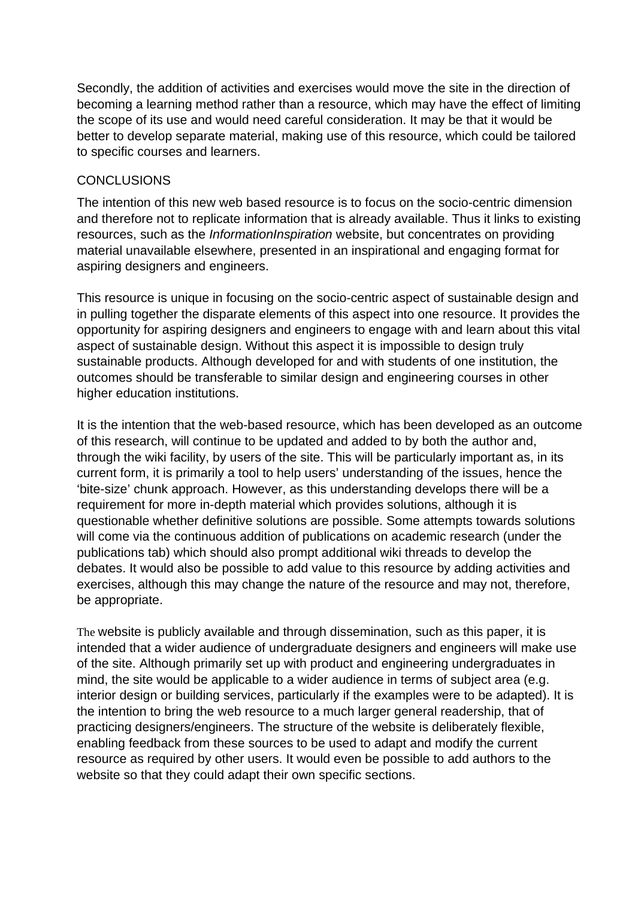Secondly, the addition of activities and exercises would move the site in the direction of becoming a learning method rather than a resource, which may have the effect of limiting the scope of its use and would need careful consideration. It may be that it would be better to develop separate material, making use of this resource, which could be tailored to specific courses and learners.

### CONCLUSIONS

The intention of this new web based resource is to focus on the socio-centric dimension and therefore not to replicate information that is already available. Thus it links to existing resources, such as the *InformationInspiration* website, but concentrates on providing material unavailable elsewhere, presented in an inspirational and engaging format for aspiring designers and engineers.

This resource is unique in focusing on the socio-centric aspect of sustainable design and in pulling together the disparate elements of this aspect into one resource. It provides the opportunity for aspiring designers and engineers to engage with and learn about this vital aspect of sustainable design. Without this aspect it is impossible to design truly sustainable products. Although developed for and with students of one institution, the outcomes should be transferable to similar design and engineering courses in other higher education institutions.

It is the intention that the web-based resource, which has been developed as an outcome of this research, will continue to be updated and added to by both the author and, through the wiki facility, by users of the site. This will be particularly important as, in its current form, it is primarily a tool to help users' understanding of the issues, hence the 'bite-size' chunk approach. However, as this understanding develops there will be a requirement for more in-depth material which provides solutions, although it is questionable whether definitive solutions are possible. Some attempts towards solutions will come via the continuous addition of publications on academic research (under the publications tab) which should also prompt additional wiki threads to develop the debates. It would also be possible to add value to this resource by adding activities and exercises, although this may change the nature of the resource and may not, therefore, be appropriate.

The website is publicly available and through dissemination, such as this paper, it is intended that a wider audience of undergraduate designers and engineers will make use of the site. Although primarily set up with product and engineering undergraduates in mind, the site would be applicable to a wider audience in terms of subject area (e.g. interior design or building services, particularly if the examples were to be adapted). It is the intention to bring the web resource to a much larger general readership, that of practicing designers/engineers. The structure of the website is deliberately flexible, enabling feedback from these sources to be used to adapt and modify the current resource as required by other users. It would even be possible to add authors to the website so that they could adapt their own specific sections.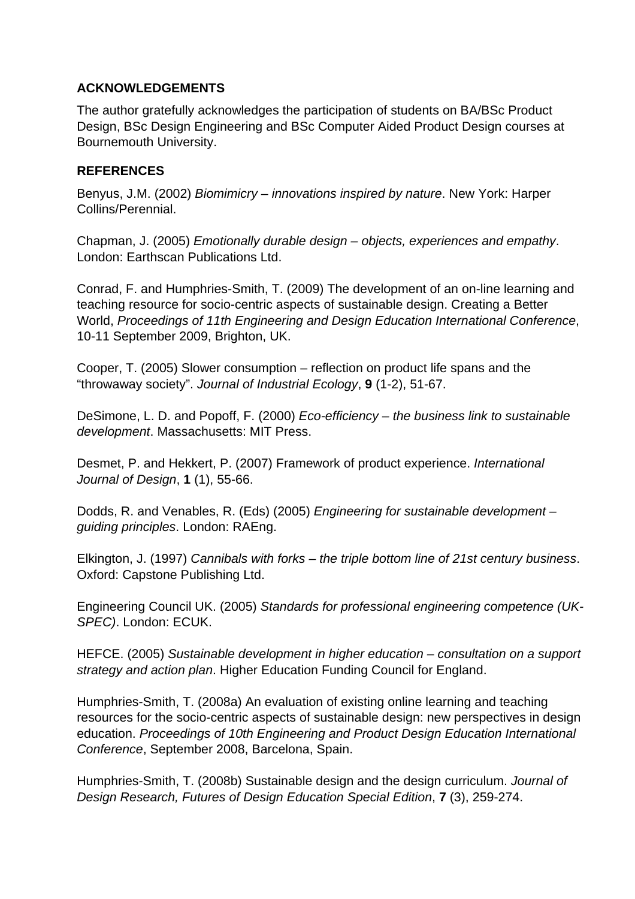### **ACKNOWLEDGEMENTS**

The author gratefully acknowledges the participation of students on BA/BSc Product Design, BSc Design Engineering and BSc Computer Aided Product Design courses at Bournemouth University.

### **REFERENCES**

Benyus, J.M. (2002) Biomimicry – innovations inspired by nature. New York: Harper Collins/Perennial.

Chapman, J. (2005) Emotionally durable design – objects, experiences and empathy. London: Earthscan Publications Ltd.

Conrad, F. and Humphries-Smith, T. (2009) The development of an on-line learning and teaching resource for socio-centric aspects of sustainable design. Creating a Better World, Proceedings of 11th Engineering and Design Education International Conference, 10-11 September 2009, Brighton, UK.

Cooper, T. (2005) Slower consumption – reflection on product life spans and the "throwaway society". Journal of Industrial Ecology, **9** (1-2), 51-67.

DeSimone, L. D. and Popoff, F. (2000) Eco-efficiency – the business link to sustainable development. Massachusetts: MIT Press.

Desmet, P. and Hekkert, P. (2007) Framework of product experience. International Journal of Design, **1** (1), 55-66.

Dodds, R. and Venables, R. (Eds) (2005) Engineering for sustainable development – guiding principles. London: RAEng.

Elkington, J. (1997) Cannibals with forks – the triple bottom line of 21st century business. Oxford: Capstone Publishing Ltd.

Engineering Council UK. (2005) Standards for professional engineering competence (UK-SPEC). London: ECUK.

HEFCE. (2005) Sustainable development in higher education – consultation on a support strategy and action plan. Higher Education Funding Council for England.

Humphries-Smith, T. (2008a) An evaluation of existing online learning and teaching resources for the socio-centric aspects of sustainable design: new perspectives in design education. Proceedings of 10th Engineering and Product Design Education International Conference, September 2008, Barcelona, Spain.

Humphries-Smith, T. (2008b) Sustainable design and the design curriculum. Journal of Design Research, Futures of Design Education Special Edition, **7** (3), 259-274.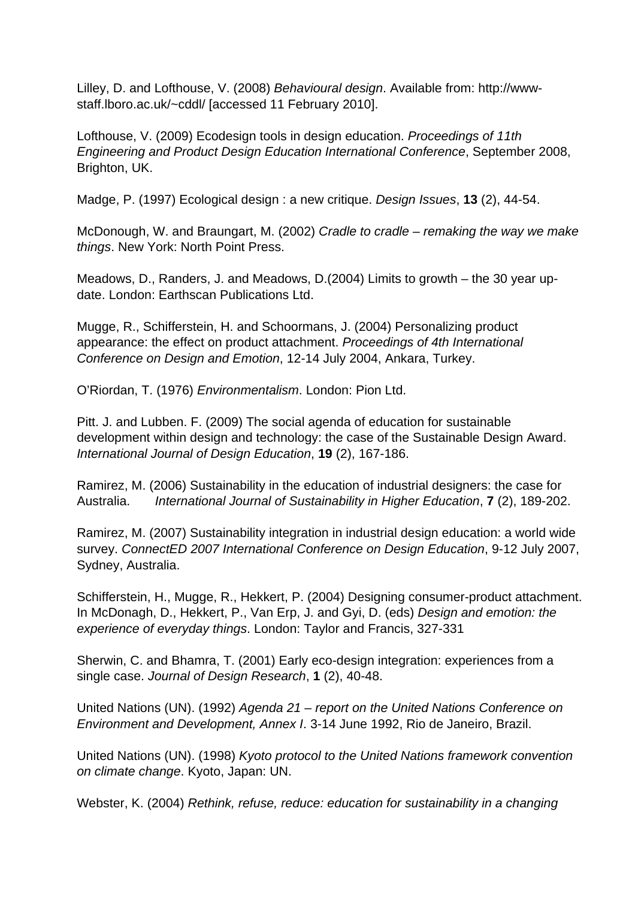Lilley, D. and Lofthouse, V. (2008) Behavioural design. Available from: http://wwwstaff.lboro.ac.uk/~cddl/ [accessed 11 February 2010].

Lofthouse, V. (2009) Ecodesign tools in design education. Proceedings of 11th Engineering and Product Design Education International Conference, September 2008, Brighton, UK.

Madge, P. (1997) Ecological design : a new critique. Design Issues, **13** (2), 44-54.

McDonough, W. and Braungart, M. (2002) Cradle to cradle – remaking the way we make things. New York: North Point Press.

Meadows, D., Randers, J. and Meadows, D.(2004) Limits to growth – the 30 year update. London: Earthscan Publications Ltd.

Mugge, R., Schifferstein, H. and Schoormans, J. (2004) Personalizing product appearance: the effect on product attachment. Proceedings of 4th International Conference on Design and Emotion, 12-14 July 2004, Ankara, Turkey.

O'Riordan, T. (1976) Environmentalism. London: Pion Ltd.

Pitt. J. and Lubben. F. (2009) The social agenda of education for sustainable development within design and technology: the case of the Sustainable Design Award. International Journal of Design Education, **19** (2), 167-186.

Ramirez, M. (2006) Sustainability in the education of industrial designers: the case for Australia. International Journal of Sustainability in Higher Education, **7** (2), 189-202.

Ramirez, M. (2007) Sustainability integration in industrial design education: a world wide survey. ConnectED 2007 International Conference on Design Education, 9-12 July 2007, Sydney, Australia.

Schifferstein, H., Mugge, R., Hekkert, P. (2004) Designing consumer-product attachment. In McDonagh, D., Hekkert, P., Van Erp, J. and Gyi, D. (eds) Design and emotion: the experience of everyday things. London: Taylor and Francis, 327-331

Sherwin, C. and Bhamra, T. (2001) Early eco-design integration: experiences from a single case. Journal of Design Research, **1** (2), 40-48.

United Nations (UN). (1992) Agenda 21 – report on the United Nations Conference on Environment and Development, Annex I. 3-14 June 1992, Rio de Janeiro, Brazil.

United Nations (UN). (1998) Kyoto protocol to the United Nations framework convention on climate change. Kyoto, Japan: UN.

Webster, K. (2004) Rethink, refuse, reduce: education for sustainability in a changing